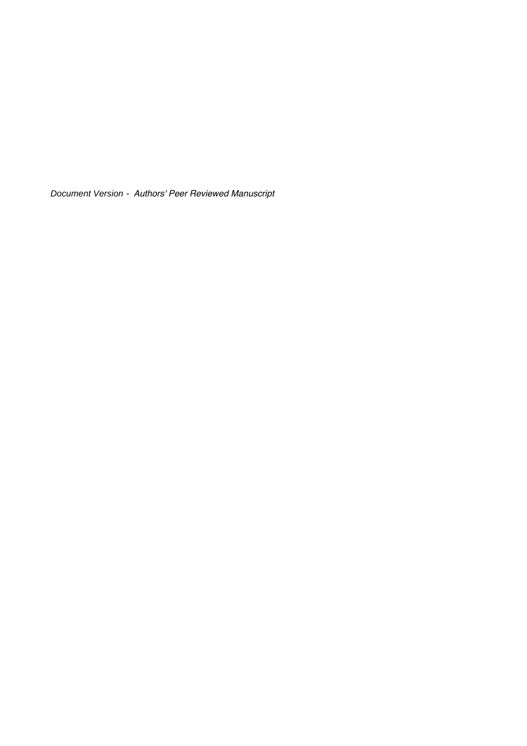Document Version - Authors' Peer Reviewed Manuscript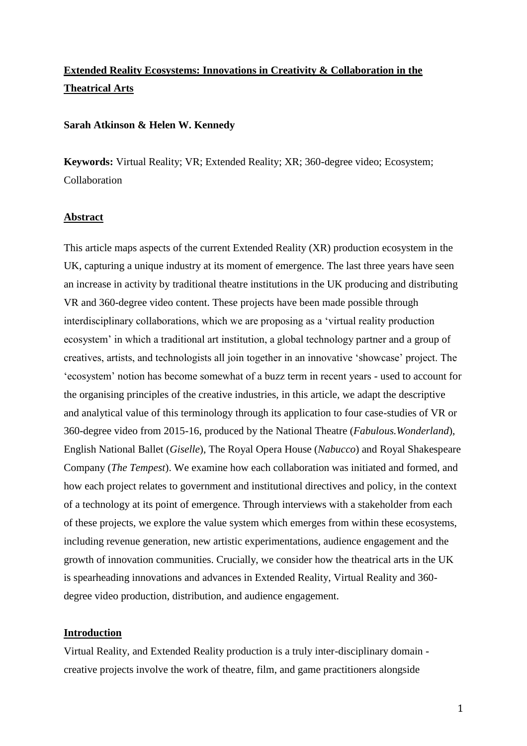# **Extended Reality Ecosystems: Innovations in Creativity & Collaboration in the Theatrical Arts**

#### **Sarah Atkinson & Helen W. Kennedy**

**Keywords:** Virtual Reality; VR; Extended Reality; XR; 360-degree video; Ecosystem; Collaboration

## **Abstract**

This article maps aspects of the current Extended Reality (XR) production ecosystem in the UK, capturing a unique industry at its moment of emergence. The last three years have seen an increase in activity by traditional theatre institutions in the UK producing and distributing VR and 360-degree video content. These projects have been made possible through interdisciplinary collaborations, which we are proposing as a 'virtual reality production ecosystem' in which a traditional art institution, a global technology partner and a group of creatives, artists, and technologists all join together in an innovative 'showcase' project. The 'ecosystem' notion has become somewhat of a buzz term in recent years - used to account for the organising principles of the creative industries, in this article, we adapt the descriptive and analytical value of this terminology through its application to four case-studies of VR or 360-degree video from 2015-16, produced by the National Theatre (*Fabulous.Wonderland*), English National Ballet (*Giselle*), The Royal Opera House (*Nabucco*) and Royal Shakespeare Company (*The Tempest*). We examine how each collaboration was initiated and formed, and how each project relates to government and institutional directives and policy, in the context of a technology at its point of emergence. Through interviews with a stakeholder from each of these projects, we explore the value system which emerges from within these ecosystems, including revenue generation, new artistic experimentations, audience engagement and the growth of innovation communities. Crucially, we consider how the theatrical arts in the UK is spearheading innovations and advances in Extended Reality, Virtual Reality and 360 degree video production, distribution, and audience engagement.

### **Introduction**

Virtual Reality, and Extended Reality production is a truly inter-disciplinary domain creative projects involve the work of theatre, film, and game practitioners alongside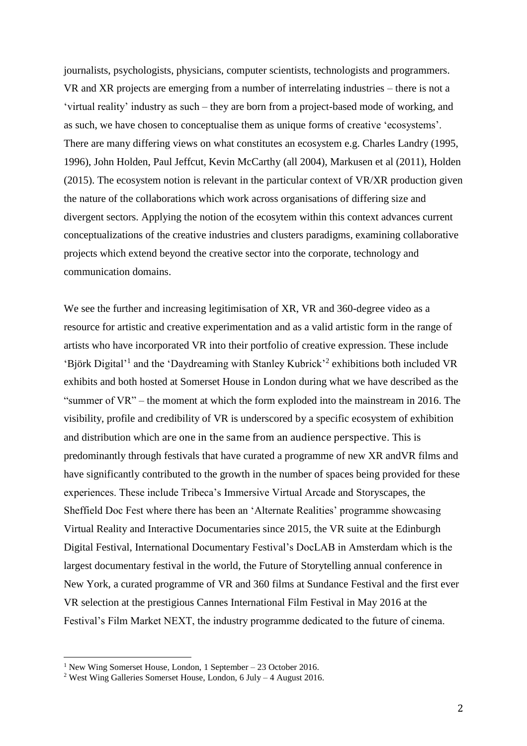journalists, psychologists, physicians, computer scientists, technologists and programmers. VR and XR projects are emerging from a number of interrelating industries – there is not a 'virtual reality' industry as such – they are born from a project-based mode of working, and as such, we have chosen to conceptualise them as unique forms of creative 'ecosystems'. There are many differing views on what constitutes an ecosystem e.g. Charles Landry (1995, 1996), John Holden, Paul Jeffcut, Kevin McCarthy (all 2004), Markusen et al (2011), Holden (2015). The ecosystem notion is relevant in the particular context of VR/XR production given the nature of the collaborations which work across organisations of differing size and divergent sectors. Applying the notion of the ecosytem within this context advances current conceptualizations of the creative industries and clusters paradigms, examining collaborative projects which extend beyond the creative sector into the corporate, technology and communication domains.

We see the further and increasing legitimisation of XR, VR and 360-degree video as a resource for artistic and creative experimentation and as a valid artistic form in the range of artists who have incorporated VR into their portfolio of creative expression. These include 'Björk Digital'<sup>1</sup> and the 'Daydreaming with Stanley Kubrick'<sup>2</sup> exhibitions both included VR exhibits and both hosted at Somerset House in London during what we have described as the "summer of VR" – the moment at which the form exploded into the mainstream in 2016. The visibility, profile and credibility of VR is underscored by a specific ecosystem of exhibition and distribution which are one in the same from an audience perspective. This is predominantly through festivals that have curated a programme of new XR andVR films and have significantly contributed to the growth in the number of spaces being provided for these experiences. These include Tribeca's Immersive Virtual Arcade and Storyscapes, the Sheffield Doc Fest where there has been an 'Alternate Realities' programme showcasing Virtual Reality and Interactive Documentaries since 2015, the VR suite at the Edinburgh Digital Festival, International Documentary Festival's DocLAB in Amsterdam which is the largest documentary festival in the world, the Future of Storytelling annual conference in New York, a curated programme of VR and 360 films at Sundance Festival and the first ever VR selection at the prestigious Cannes International Film Festival in May 2016 at the Festival's Film Market NEXT, the industry programme dedicated to the future of cinema.

<sup>1</sup> New Wing Somerset House, London, 1 September – 23 October 2016.

<sup>&</sup>lt;sup>2</sup> West Wing Galleries Somerset House, London, 6 July – 4 August 2016.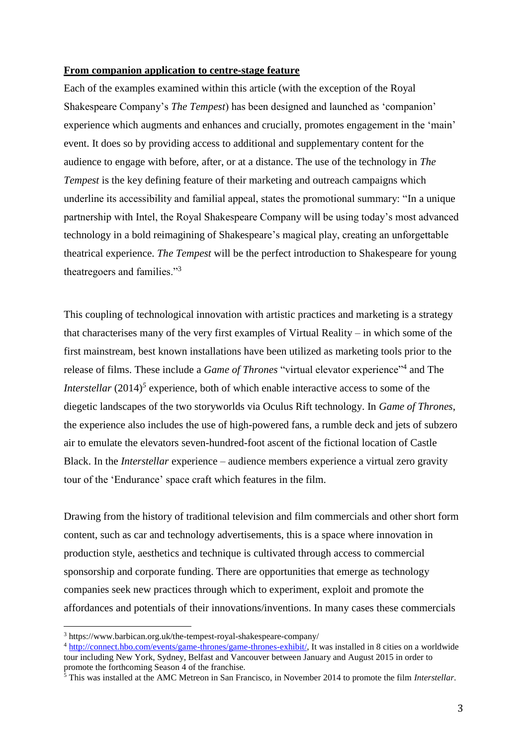#### **From companion application to centre-stage feature**

Each of the examples examined within this article (with the exception of the Royal Shakespeare Company's *The Tempest*) has been designed and launched as 'companion' experience which augments and enhances and crucially, promotes engagement in the 'main' event. It does so by providing access to additional and supplementary content for the audience to engage with before, after, or at a distance. The use of the technology in *The Tempest* is the key defining feature of their marketing and outreach campaigns which underline its accessibility and familial appeal, states the promotional summary: "In a unique partnership with Intel, the Royal Shakespeare Company will be using today's most advanced technology in a bold reimagining of Shakespeare's magical play, creating an unforgettable theatrical experience. *The Tempest* will be the perfect introduction to Shakespeare for young theatregoers and families."<sup>3</sup>

This coupling of technological innovation with artistic practices and marketing is a strategy that characterises many of the very first examples of Virtual Reality – in which some of the first mainstream, best known installations have been utilized as marketing tools prior to the release of films. These include a *Game of Thrones* "virtual elevator experience"<sup>4</sup> and The *Interstellar* (2014)<sup>5</sup> experience, both of which enable interactive access to some of the diegetic landscapes of the two storyworlds via Oculus Rift technology. In *Game of Thrones*, the experience also includes the use of high-powered fans, a rumble deck and jets of subzero air to emulate the elevators seven-hundred-foot ascent of the fictional location of Castle Black. In the *Interstellar* experience – audience members experience a virtual zero gravity tour of the 'Endurance' space craft which features in the film.

Drawing from the history of traditional television and film commercials and other short form content, such as car and technology advertisements, this is a space where innovation in production style, aesthetics and technique is cultivated through access to commercial sponsorship and corporate funding. There are opportunities that emerge as technology companies seek new practices through which to experiment, exploit and promote the affordances and potentials of their innovations/inventions. In many cases these commercials

<sup>3</sup> https://www.barbican.org.uk/the-tempest-royal-shakespeare-company/

<sup>&</sup>lt;sup>4</sup> [http://connect.hbo.com/events/game-thrones/game-thrones-exhibit/,](http://connect.hbo.com/events/game-thrones/game-thrones-exhibit/) It was installed in 8 cities on a worldwide tour including New York, Sydney, Belfast and Vancouver between January and August 2015 in order to promote the forthcoming Season 4 of the franchise.

<sup>5</sup> This was installed at the AMC Metreon in San Francisco, in November 2014 to promote the film *Interstellar*.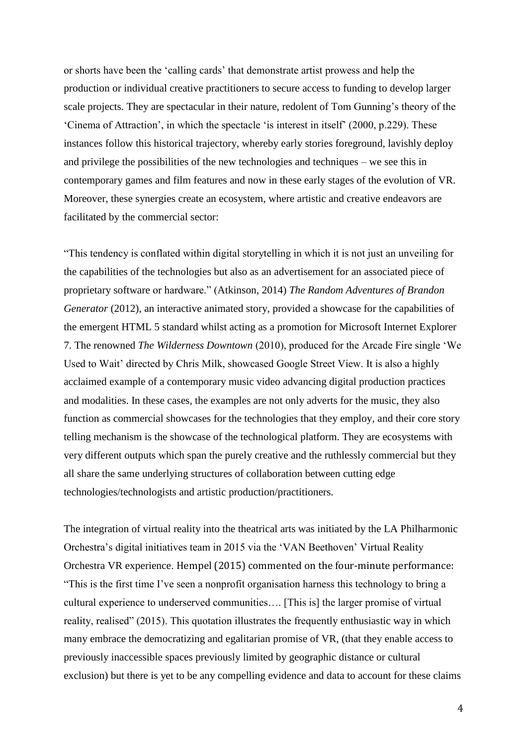or shorts have been the 'calling cards' that demonstrate artist prowess and help the production or individual creative practitioners to secure access to funding to develop larger scale projects. They are spectacular in their nature, redolent of Tom Gunning's theory of the 'Cinema of Attraction', in which the spectacle 'is interest in itself' (2000, p.229). These instances follow this historical trajectory, whereby early stories foreground, lavishly deploy and privilege the possibilities of the new technologies and techniques – we see this in contemporary games and film features and now in these early stages of the evolution of VR. Moreover, these synergies create an ecosystem, where artistic and creative endeavors are facilitated by the commercial sector:

"This tendency is conflated within digital storytelling in which it is not just an unveiling for the capabilities of the technologies but also as an advertisement for an associated piece of proprietary software or hardware." (Atkinson, 2014) *The Random Adventures of Brandon Generator* (2012), an interactive animated story, provided a showcase for the capabilities of the emergent HTML 5 standard whilst acting as a promotion for Microsoft Internet Explorer 7. The renowned *The Wilderness Downtown* (2010), produced for the Arcade Fire single 'We Used to Wait' directed by Chris Milk, showcased Google Street View. It is also a highly acclaimed example of a contemporary music video advancing digital production practices and modalities. In these cases, the examples are not only adverts for the music, they also function as commercial showcases for the technologies that they employ*,* and their core story telling mechanism is the showcase of the technological platform. They are ecosystems with very different outputs which span the purely creative and the ruthlessly commercial but they all share the same underlying structures of collaboration between cutting edge technologies/technologists and artistic production/practitioners.

The integration of virtual reality into the theatrical arts was initiated by the LA Philharmonic Orchestra's digital initiatives team in 2015 via the 'VAN Beethoven' Virtual Reality Orchestra VR experience. Hempel (2015) commented on the four-minute performance: "This is the first time I've seen a nonprofit organisation harness this technology to bring a cultural experience to underserved communities…. [This is] the larger promise of virtual reality, realised" (2015). This quotation illustrates the frequently enthusiastic way in which many embrace the democratizing and egalitarian promise of VR, (that they enable access to previously inaccessible spaces previously limited by geographic distance or cultural exclusion) but there is yet to be any compelling evidence and data to account for these claims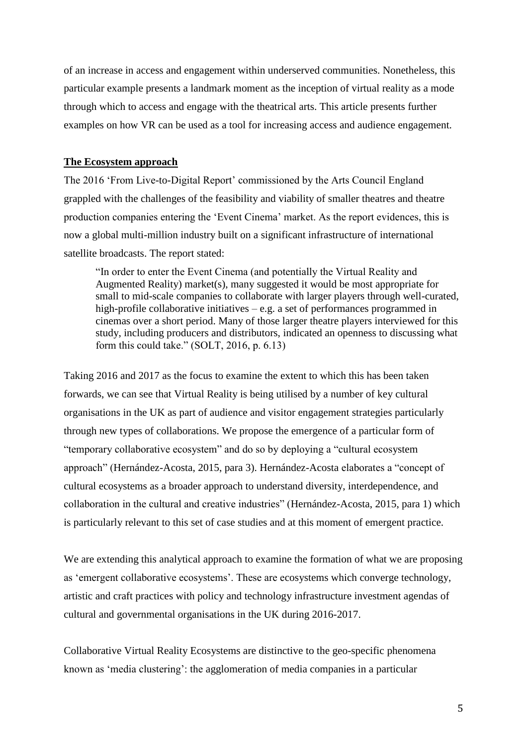of an increase in access and engagement within underserved communities. Nonetheless, this particular example presents a landmark moment as the inception of virtual reality as a mode through which to access and engage with the theatrical arts. This article presents further examples on how VR can be used as a tool for increasing access and audience engagement.

#### **The Ecosystem approach**

The 2016 'From Live-to-Digital Report' commissioned by the Arts Council England grappled with the challenges of the feasibility and viability of smaller theatres and theatre production companies entering the 'Event Cinema' market. As the report evidences, this is now a global multi-million industry built on a significant infrastructure of international satellite broadcasts. The report stated:

"In order to enter the Event Cinema (and potentially the Virtual Reality and Augmented Reality) market(s), many suggested it would be most appropriate for small to mid-scale companies to collaborate with larger players through well-curated, high-profile collaborative initiatives – e.g. a set of performances programmed in cinemas over a short period. Many of those larger theatre players interviewed for this study, including producers and distributors, indicated an openness to discussing what form this could take." (SOLT, 2016, p. 6.13)

Taking 2016 and 2017 as the focus to examine the extent to which this has been taken forwards, we can see that Virtual Reality is being utilised by a number of key cultural organisations in the UK as part of audience and visitor engagement strategies particularly through new types of collaborations. We propose the emergence of a particular form of "temporary collaborative ecosystem" and do so by deploying a "cultural ecosystem approach" (Hernández-Acosta, 2015, para 3). Hernández-Acosta elaborates a "concept of cultural ecosystems as a broader approach to understand diversity, interdependence, and collaboration in the cultural and creative industries" (Hernández-Acosta, 2015, para 1) which is particularly relevant to this set of case studies and at this moment of emergent practice.

We are extending this analytical approach to examine the formation of what we are proposing as 'emergent collaborative ecosystems'. These are ecosystems which converge technology, artistic and craft practices with policy and technology infrastructure investment agendas of cultural and governmental organisations in the UK during 2016-2017.

Collaborative Virtual Reality Ecosystems are distinctive to the geo-specific phenomena known as 'media clustering': the agglomeration of media companies in a particular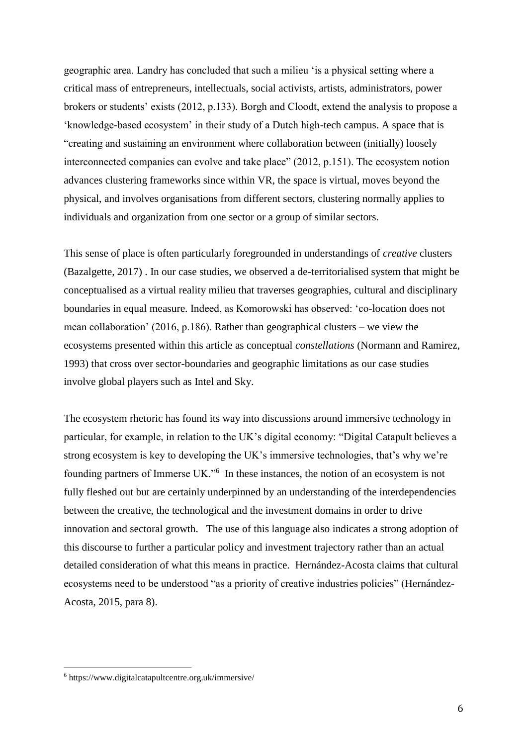geographic area. Landry has concluded that such a milieu 'is a physical setting where a critical mass of entrepreneurs, intellectuals, social activists, artists, administrators, power brokers or students' exists (2012, p.133). Borgh and Cloodt, extend the analysis to propose a 'knowledge-based ecosystem' in their study of a Dutch high-tech campus. A space that is "creating and sustaining an environment where collaboration between (initially) loosely interconnected companies can evolve and take place" (2012, p.151). The ecosystem notion advances clustering frameworks since within VR, the space is virtual, moves beyond the physical, and involves organisations from different sectors, clustering normally applies to individuals and organization from one sector or a group of similar sectors.

This sense of place is often particularly foregrounded in understandings of *creative* clusters (Bazalgette, 2017) . In our case studies, we observed a de-territorialised system that might be conceptualised as a virtual reality milieu that traverses geographies, cultural and disciplinary boundaries in equal measure. Indeed, as Komorowski has observed: 'co-location does not mean collaboration' (2016, p.186). Rather than geographical clusters – we view the ecosystems presented within this article as conceptual *constellations* (Normann and Ramirez, 1993) that cross over sector-boundaries and geographic limitations as our case studies involve global players such as Intel and Sky.

The ecosystem rhetoric has found its way into discussions around immersive technology in particular, for example, in relation to the UK's digital economy: "Digital Catapult believes a strong ecosystem is key to developing the UK's immersive technologies, that's why we're founding partners of Immerse UK."<sup>6</sup> In these instances, the notion of an ecosystem is not fully fleshed out but are certainly underpinned by an understanding of the interdependencies between the creative, the technological and the investment domains in order to drive innovation and sectoral growth. The use of this language also indicates a strong adoption of this discourse to further a particular policy and investment trajectory rather than an actual detailed consideration of what this means in practice. Hernández-Acosta claims that cultural ecosystems need to be understood "as a priority of creative industries policies" (Hernández-Acosta, 2015, para 8).

<sup>6</sup> https://www.digitalcatapultcentre.org.uk/immersive/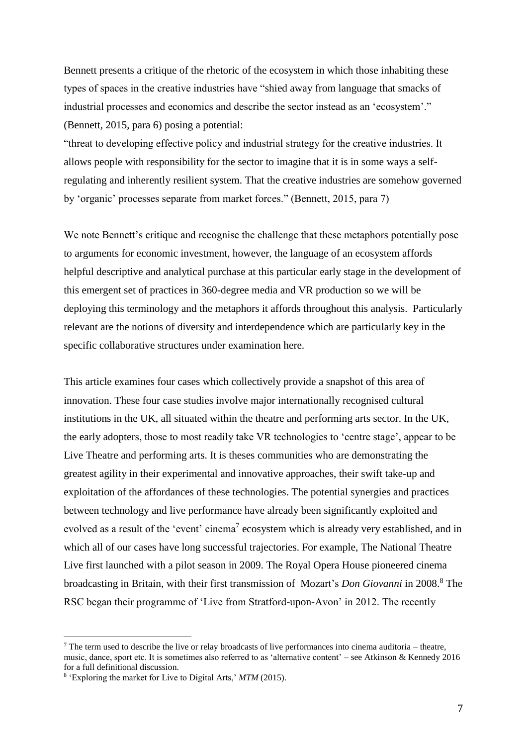Bennett presents a critique of the rhetoric of the ecosystem in which those inhabiting these types of spaces in the creative industries have "shied away from language that smacks of industrial processes and economics and describe the sector instead as an 'ecosystem'." (Bennett, 2015, para 6) posing a potential:

"threat to developing effective policy and industrial strategy for the creative industries. It allows people with responsibility for the sector to imagine that it is in some ways a selfregulating and inherently resilient system. That the creative industries are somehow governed by 'organic' processes separate from market forces." (Bennett, 2015, para 7)

We note Bennett's critique and recognise the challenge that these metaphors potentially pose to arguments for economic investment, however, the language of an ecosystem affords helpful descriptive and analytical purchase at this particular early stage in the development of this emergent set of practices in 360-degree media and VR production so we will be deploying this terminology and the metaphors it affords throughout this analysis. Particularly relevant are the notions of diversity and interdependence which are particularly key in the specific collaborative structures under examination here.

This article examines four cases which collectively provide a snapshot of this area of innovation. These four case studies involve major internationally recognised cultural institutions in the UK, all situated within the theatre and performing arts sector. In the UK, the early adopters, those to most readily take VR technologies to 'centre stage', appear to be Live Theatre and performing arts. It is theses communities who are demonstrating the greatest agility in their experimental and innovative approaches, their swift take-up and exploitation of the affordances of these technologies. The potential synergies and practices between technology and live performance have already been significantly exploited and evolved as a result of the 'event' cinema<sup>7</sup> ecosystem which is already very established, and in which all of our cases have long successful trajectories. For example, The National Theatre Live first launched with a pilot season in 2009. The Royal Opera House pioneered cinema broadcasting in Britain, with their first transmission of Mozart's *Don Giovanni* in 2008.<sup>8</sup> The RSC began their programme of 'Live from Stratford-upon-Avon' in 2012. The recently

<sup>&</sup>lt;sup>7</sup> The term used to describe the live or relay broadcasts of live performances into cinema auditoria – theatre, music, dance, sport etc. It is sometimes also referred to as 'alternative content' – see Atkinson & Kennedy 2016 for a full definitional discussion.

<sup>8</sup> 'Exploring the market for Live to Digital Arts,' *MTM* (2015).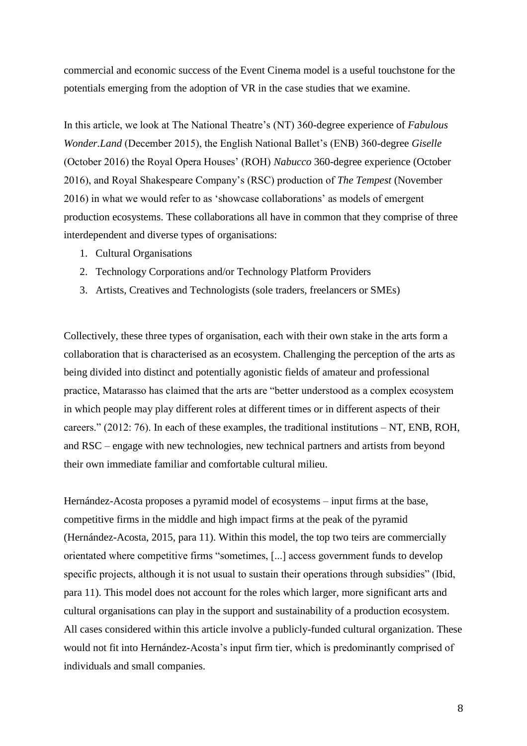commercial and economic success of the Event Cinema model is a useful touchstone for the potentials emerging from the adoption of VR in the case studies that we examine.

In this article, we look at The National Theatre's (NT) 360-degree experience of *Fabulous Wonder.Land* (December 2015), the English National Ballet's (ENB) 360-degree *Giselle* (October 2016) the Royal Opera Houses' (ROH) *Nabucco* 360-degree experience (October 2016), and Royal Shakespeare Company's (RSC) production of *The Tempest* (November 2016) in what we would refer to as 'showcase collaborations' as models of emergent production ecosystems. These collaborations all have in common that they comprise of three interdependent and diverse types of organisations:

- 1. Cultural Organisations
- 2. Technology Corporations and/or Technology Platform Providers
- 3. Artists, Creatives and Technologists (sole traders, freelancers or SMEs)

Collectively, these three types of organisation, each with their own stake in the arts form a collaboration that is characterised as an ecosystem. Challenging the perception of the arts as being divided into distinct and potentially agonistic fields of amateur and professional practice, Matarasso has claimed that the arts are "better understood as a complex ecosystem in which people may play different roles at different times or in different aspects of their careers." (2012: 76). In each of these examples, the traditional institutions – NT, ENB, ROH, and RSC – engage with new technologies, new technical partners and artists from beyond their own immediate familiar and comfortable cultural milieu.

Hernández-Acosta proposes a pyramid model of ecosystems – input firms at the base, competitive firms in the middle and high impact firms at the peak of the pyramid (Hernández-Acosta, 2015, para 11). Within this model, the top two teirs are commercially orientated where competitive firms "sometimes, [...] access government funds to develop specific projects, although it is not usual to sustain their operations through subsidies" (Ibid, para 11). This model does not account for the roles which larger, more significant arts and cultural organisations can play in the support and sustainability of a production ecosystem. All cases considered within this article involve a publicly-funded cultural organization. These would not fit into Hernández-Acosta's input firm tier, which is predominantly comprised of individuals and small companies.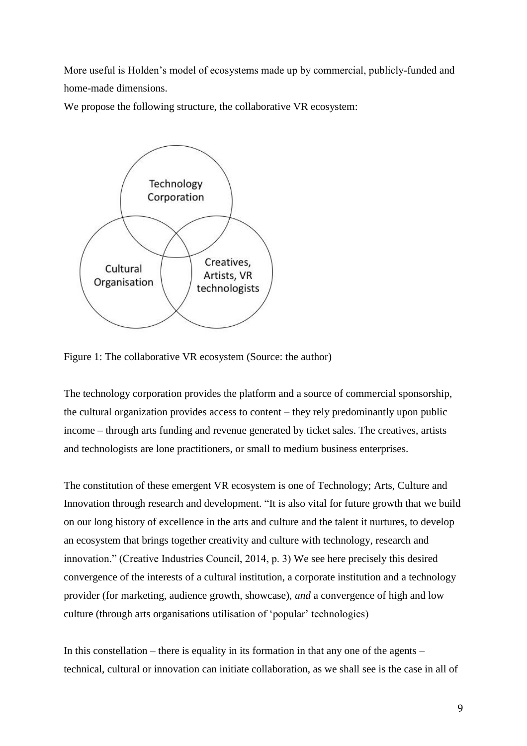More useful is Holden's model of ecosystems made up by commercial, publicly-funded and home-made dimensions.

We propose the following structure, the collaborative VR ecosystem:



Figure 1: The collaborative VR ecosystem (Source: the author)

The technology corporation provides the platform and a source of commercial sponsorship, the cultural organization provides access to content – they rely predominantly upon public income – through arts funding and revenue generated by ticket sales. The creatives, artists and technologists are lone practitioners, or small to medium business enterprises.

The constitution of these emergent VR ecosystem is one of Technology; Arts, Culture and Innovation through research and development. "It is also vital for future growth that we build on our long history of excellence in the arts and culture and the talent it nurtures, to develop an ecosystem that brings together creativity and culture with technology, research and innovation." (Creative Industries Council, 2014, p. 3) We see here precisely this desired convergence of the interests of a cultural institution, a corporate institution and a technology provider (for marketing, audience growth, showcase), *and* a convergence of high and low culture (through arts organisations utilisation of 'popular' technologies)

In this constellation – there is equality in its formation in that any one of the agents – technical, cultural or innovation can initiate collaboration, as we shall see is the case in all of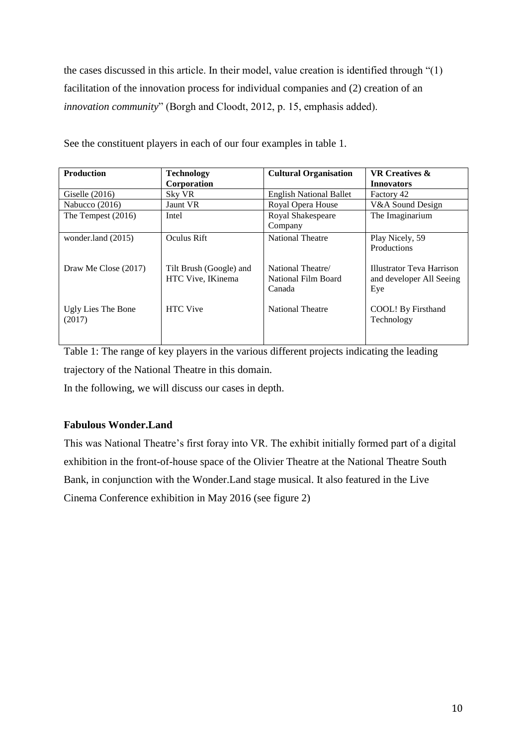the cases discussed in this article. In their model, value creation is identified through "(1) facilitation of the innovation process for individual companies and (2) creation of an *innovation community*" (Borgh and Cloodt, 2012, p. 15, emphasis added).

| <b>Production</b>    | <b>Technology</b>       | <b>Cultural Organisation</b>   | <b>VR Creatives &amp;</b>        |
|----------------------|-------------------------|--------------------------------|----------------------------------|
|                      | Corporation             |                                | <b>Innovators</b>                |
| Giselle $(2016)$     | Sky VR                  | <b>English National Ballet</b> | Factory 42                       |
| Nabucco $(2016)$     | Jaunt VR                | Royal Opera House              | V&A Sound Design                 |
| The Tempest $(2016)$ | Intel                   | Royal Shakespeare              | The Imaginarium                  |
|                      |                         | Company                        |                                  |
| wonder.land (2015)   | Oculus Rift             | National Theatre               | Play Nicely, 59                  |
|                      |                         |                                | Productions                      |
|                      |                         |                                |                                  |
| Draw Me Close (2017) | Tilt Brush (Google) and | National Theatre/              | <b>Illustrator Teva Harrison</b> |
|                      | HTC Vive, IKinema       | National Film Board            | and developer All Seeing         |
|                      |                         | Canada                         | Eye                              |
| Ugly Lies The Bone   | <b>HTC</b> Vive         | <b>National Theatre</b>        | COOL! By Firsthand               |
| (2017)               |                         |                                | Technology                       |
|                      |                         |                                |                                  |
|                      |                         |                                |                                  |

See the constituent players in each of our four examples in table 1.

Table 1: The range of key players in the various different projects indicating the leading trajectory of the National Theatre in this domain.

In the following, we will discuss our cases in depth.

# **Fabulous Wonder.Land**

This was National Theatre's first foray into VR. The exhibit initially formed part of a digital exhibition in the front-of-house space of the Olivier Theatre at the National Theatre South Bank, in conjunction with the Wonder.Land stage musical. It also featured in the Live Cinema Conference exhibition in May 2016 (see figure 2)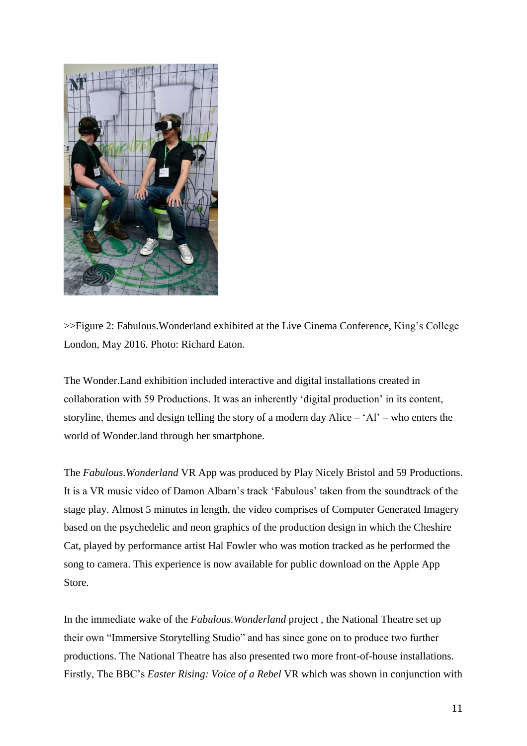

>>Figure 2: Fabulous.Wonderland exhibited at the Live Cinema Conference, King's College London, May 2016. Photo: Richard Eaton.

The Wonder.Land exhibition included interactive and digital installations created in collaboration with 59 Productions. It was an inherently 'digital production' in its content, storyline, themes and design telling the story of a modern day Alice – 'Al' – who enters the world of Wonder.land through her smartphone.

The *Fabulous.Wonderland* VR App was produced by Play Nicely Bristol and 59 Productions. It is a VR music video of Damon Albarn's track 'Fabulous' taken from the soundtrack of the stage play. Almost 5 minutes in length, the video comprises of Computer Generated Imagery based on the psychedelic and neon graphics of the production design in which the Cheshire Cat, played by performance artist Hal Fowler who was motion tracked as he performed the song to camera. This experience is now available for public download on the Apple App Store.

In the immediate wake of the *Fabulous.Wonderland* project , the National Theatre set up their own "Immersive Storytelling Studio" and has since gone on to produce two further productions. The National Theatre has also presented two more front-of-house installations. Firstly, The BBC's *Easter Rising: Voice of a Rebel* VR which was shown in conjunction with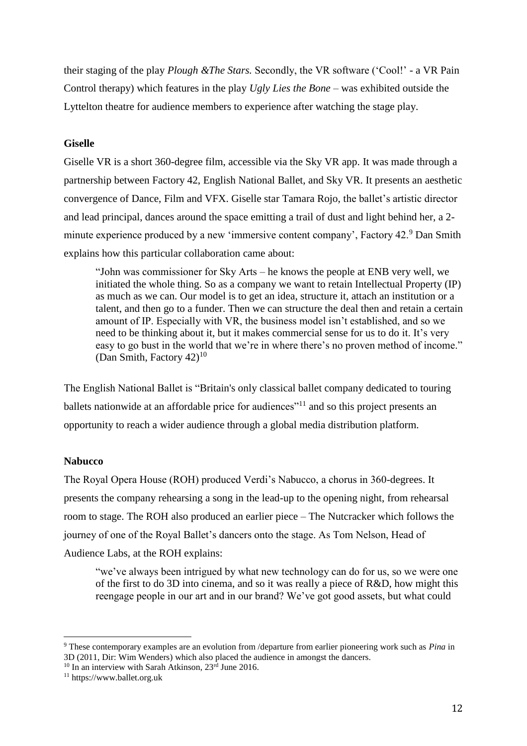their staging of the play *Plough &The Stars.* Secondly, the VR software ('Cool!' - a VR Pain Control therapy) which features in the play *Ugly Lies the Bone* – was exhibited outside the Lyttelton theatre for audience members to experience after watching the stage play.

## **Giselle**

Giselle VR is a short 360-degree film, accessible via the Sky VR app. It was made through a partnership between Factory 42, English National Ballet, and Sky VR. It presents an aesthetic convergence of Dance, Film and VFX. Giselle star Tamara Rojo, the ballet's artistic director and lead principal, dances around the space emitting a trail of dust and light behind her, a 2 minute experience produced by a new 'immersive content company', Factory 42.<sup>9</sup> Dan Smith explains how this particular collaboration came about:

"John was commissioner for Sky Arts – he knows the people at ENB very well, we initiated the whole thing. So as a company we want to retain Intellectual Property (IP) as much as we can. Our model is to get an idea, structure it, attach an institution or a talent, and then go to a funder. Then we can structure the deal then and retain a certain amount of IP. Especially with VR, the business model isn't established, and so we need to be thinking about it, but it makes commercial sense for us to do it. It's very easy to go bust in the world that we're in where there's no proven method of income." (Dan Smith, Factory  $42$ )<sup>10</sup>

The English National Ballet is "Britain's only classical ballet company dedicated to touring ballets nationwide at an affordable price for audiences<sup>"11</sup> and so this project presents an opportunity to reach a wider audience through a global media distribution platform.

## **Nabucco**

 $\overline{a}$ 

The Royal Opera House (ROH) produced Verdi's Nabucco, a chorus in 360-degrees. It presents the company rehearsing a song in the lead-up to the opening night, from rehearsal room to stage. The ROH also produced an earlier piece – The Nutcracker which follows the journey of one of the Royal Ballet's dancers onto the stage. As Tom Nelson, Head of Audience Labs, at the ROH explains:

"we've always been intrigued by what new technology can do for us, so we were one of the first to do 3D into cinema, and so it was really a piece of R&D, how might this reengage people in our art and in our brand? We've got good assets, but what could

<sup>9</sup> These contemporary examples are an evolution from /departure from earlier pioneering work such as *Pina* in 3D (2011, Dir[: Wim Wenders\)](http://www.imdb.com/name/nm0000694?ref_=tt_ov_dr) which also placed the audience in amongst the dancers.

 $10$  In an interview with Sarah Atkinson,  $23<sup>rd</sup>$  June 2016.

<sup>11</sup> https://www.ballet.org.uk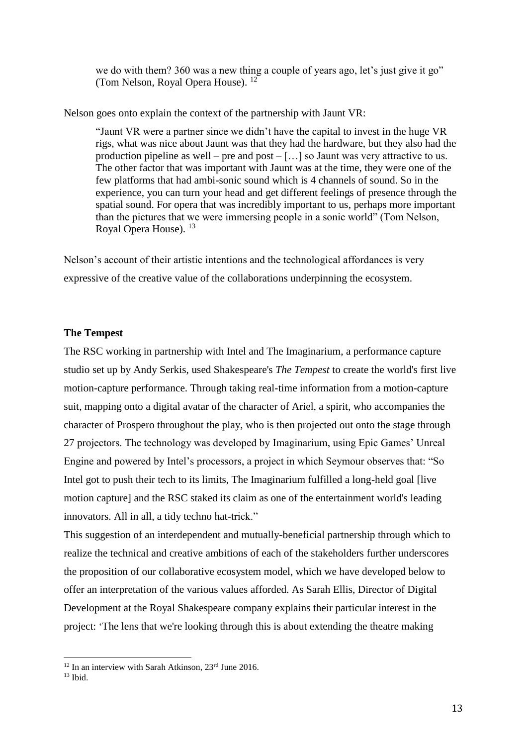we do with them? 360 was a new thing a couple of years ago, let's just give it go" (Tom Nelson, Royal Opera House). <sup>12</sup>

Nelson goes onto explain the context of the partnership with Jaunt VR:

"Jaunt VR were a partner since we didn't have the capital to invest in the huge VR rigs, what was nice about Jaunt was that they had the hardware, but they also had the production pipeline as well – pre and post – […] so Jaunt was very attractive to us. The other factor that was important with Jaunt was at the time, they were one of the few platforms that had ambi-sonic sound which is 4 channels of sound. So in the experience, you can turn your head and get different feelings of presence through the spatial sound. For opera that was incredibly important to us, perhaps more important than the pictures that we were immersing people in a sonic world" (Tom Nelson, Royal Opera House). <sup>13</sup>

Nelson's account of their artistic intentions and the technological affordances is very expressive of the creative value of the collaborations underpinning the ecosystem.

### **The Tempest**

The RSC working in partnership with Intel and The Imaginarium, a performance capture studio set up by Andy Serkis, used Shakespeare's *The Tempest* to create the world's first live motion-capture performance. Through taking real-time information from a motion-capture suit, mapping onto a digital avatar of the character of Ariel, a spirit, who accompanies the character of Prospero throughout the play, who is then projected out onto the stage through 27 projectors. The technology was developed by Imaginarium, using Epic Games' Unreal Engine and powered by Intel's processors, a project in which Seymour observes that: "So Intel got to push their tech to its limits, The Imaginarium fulfilled a long-held goal [live motion capture] and the RSC staked its claim as one of the entertainment world's leading innovators. All in all, a tidy techno hat-trick."

This suggestion of an interdependent and mutually-beneficial partnership through which to realize the technical and creative ambitions of each of the stakeholders further underscores the proposition of our collaborative ecosystem model, which we have developed below to offer an interpretation of the various values afforded. As Sarah Ellis, Director of Digital Development at the Royal Shakespeare company explains their particular interest in the project: 'The lens that we're looking through this is about extending the theatre making

 $12$  In an interview with Sarah Atkinson,  $23<sup>rd</sup>$  June 2016.

 $13$  Ibid.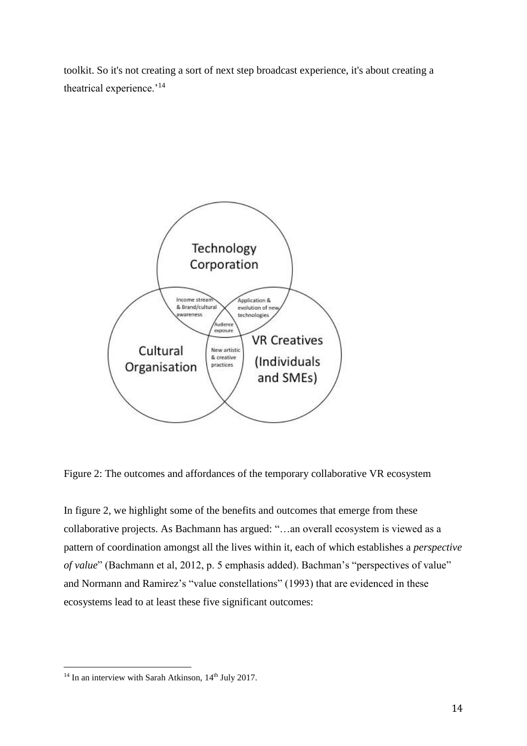toolkit. So it's not creating a sort of next step broadcast experience, it's about creating a theatrical experience.'<sup>14</sup>



Figure 2: The outcomes and affordances of the temporary collaborative VR ecosystem

In figure 2, we highlight some of the benefits and outcomes that emerge from these collaborative projects. As Bachmann has argued: "…an overall ecosystem is viewed as a pattern of coordination amongst all the lives within it, each of which establishes a *perspective of value*" (Bachmann et al, 2012, p. 5 emphasis added). Bachman's "perspectives of value" and Normann and Ramirez's "value constellations" (1993) that are evidenced in these ecosystems lead to at least these five significant outcomes:

 $14$  In an interview with Sarah Atkinson,  $14<sup>th</sup>$  July 2017.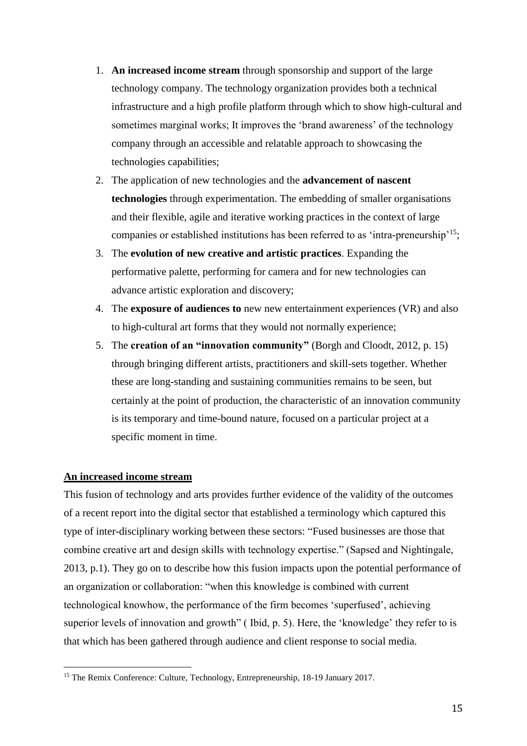- 1. **An increased income stream** through sponsorship and support of the large technology company. The technology organization provides both a technical infrastructure and a high profile platform through which to show high-cultural and sometimes marginal works; It improves the 'brand awareness' of the technology company through an accessible and relatable approach to showcasing the technologies capabilities;
- 2. The application of new technologies and the **advancement of nascent technologies** through experimentation. The embedding of smaller organisations and their flexible, agile and iterative working practices in the context of large companies or established institutions has been referred to as 'intra-preneurship'<sup>15</sup>;
- 3. The **evolution of new creative and artistic practices**. Expanding the performative palette, performing for camera and for new technologies can advance artistic exploration and discovery;
- 4. The **exposure of audiences to** new new entertainment experiences (VR) and also to high-cultural art forms that they would not normally experience;
- 5. The **creation of an "innovation community"** (Borgh and Cloodt, 2012, p. 15) through bringing different artists, practitioners and skill-sets together. Whether these are long-standing and sustaining communities remains to be seen, but certainly at the point of production, the characteristic of an innovation community is its temporary and time-bound nature, focused on a particular project at a specific moment in time.

# **An increased income stream**

 $\overline{a}$ 

This fusion of technology and arts provides further evidence of the validity of the outcomes of a recent report into the digital sector that established a terminology which captured this type of inter-disciplinary working between these sectors: "Fused businesses are those that combine creative art and design skills with technology expertise." (Sapsed and Nightingale, 2013, p.1). They go on to describe how this fusion impacts upon the potential performance of an organization or collaboration: "when this knowledge is combined with current technological knowhow, the performance of the firm becomes 'superfused', achieving superior levels of innovation and growth" (Ibid, p. 5). Here, the 'knowledge' they refer to is that which has been gathered through audience and client response to social media.

<sup>&</sup>lt;sup>15</sup> The Remix Conference: Culture, Technology, Entrepreneurship, 18-19 January 2017.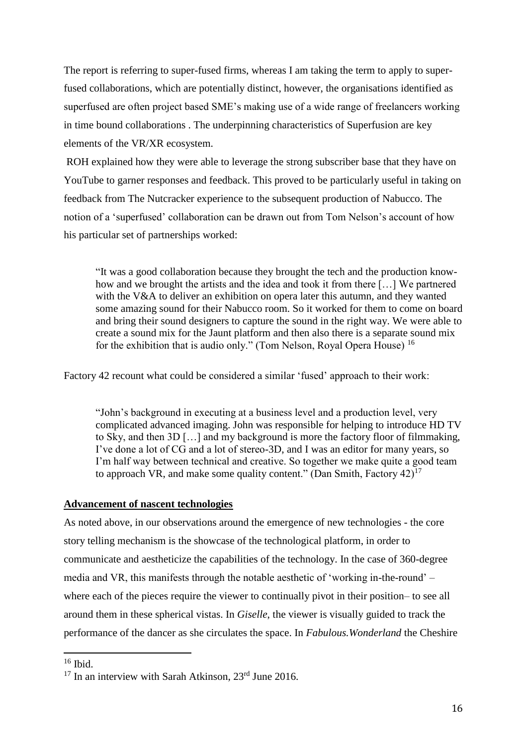The report is referring to super-fused firms, whereas I am taking the term to apply to superfused collaborations, which are potentially distinct, however, the organisations identified as superfused are often project based SME's making use of a wide range of freelancers working in time bound collaborations . The underpinning characteristics of Superfusion are key elements of the VR/XR ecosystem.

ROH explained how they were able to leverage the strong subscriber base that they have on YouTube to garner responses and feedback. This proved to be particularly useful in taking on feedback from The Nutcracker experience to the subsequent production of Nabucco. The notion of a 'superfused' collaboration can be drawn out from Tom Nelson's account of how his particular set of partnerships worked:

"It was a good collaboration because they brought the tech and the production knowhow and we brought the artists and the idea and took it from there […] We partnered with the V&A to deliver an exhibition on opera later this autumn, and they wanted some amazing sound for their Nabucco room. So it worked for them to come on board and bring their sound designers to capture the sound in the right way. We were able to create a sound mix for the Jaunt platform and then also there is a separate sound mix for the exhibition that is audio only." (Tom Nelson, Royal Opera House) <sup>16</sup>

Factory 42 recount what could be considered a similar 'fused' approach to their work:

"John's background in executing at a business level and a production level, very complicated advanced imaging. John was responsible for helping to introduce HD TV to Sky, and then 3D […] and my background is more the factory floor of filmmaking, I've done a lot of CG and a lot of stereo-3D, and I was an editor for many years, so I'm half way between technical and creative. So together we make quite a good team to approach VR, and make some quality content." (Dan Smith, Factory  $42$ )<sup>17</sup>

#### **Advancement of nascent technologies**

As noted above, in our observations around the emergence of new technologies - the core story telling mechanism is the showcase of the technological platform, in order to communicate and aestheticize the capabilities of the technology. In the case of 360-degree media and VR, this manifests through the notable aesthetic of 'working in-the-round' – where each of the pieces require the viewer to continually pivot in their position– to see all around them in these spherical vistas. In *Giselle*, the viewer is visually guided to track the performance of the dancer as she circulates the space. In *Fabulous.Wonderland* the Cheshire

 $16$  Ibid.

 $17$  In an interview with Sarah Atkinson,  $23^{\text{rd}}$  June 2016.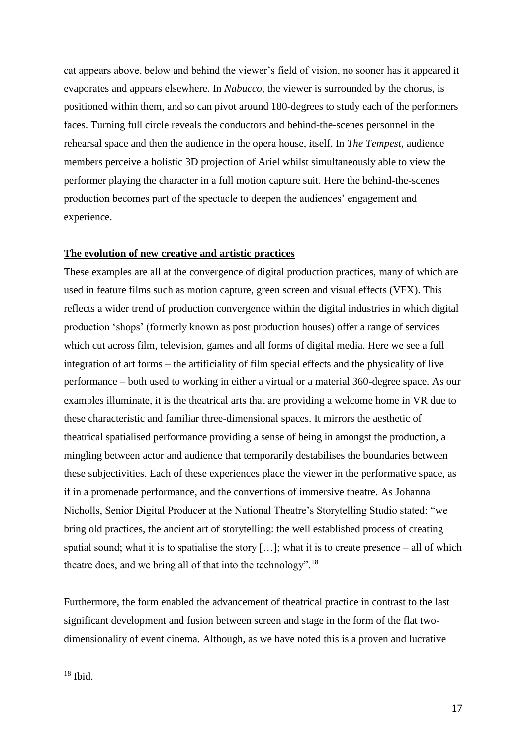cat appears above, below and behind the viewer's field of vision, no sooner has it appeared it evaporates and appears elsewhere. In *Nabucco,* the viewer is surrounded by the chorus, is positioned within them, and so can pivot around 180-degrees to study each of the performers faces. Turning full circle reveals the conductors and behind-the-scenes personnel in the rehearsal space and then the audience in the opera house, itself. In *The Tempest*, audience members perceive a holistic 3D projection of Ariel whilst simultaneously able to view the performer playing the character in a full motion capture suit. Here the behind-the-scenes production becomes part of the spectacle to deepen the audiences' engagement and experience.

## **The evolution of new creative and artistic practices**

These examples are all at the convergence of digital production practices, many of which are used in feature films such as motion capture, green screen and visual effects (VFX). This reflects a wider trend of production convergence within the digital industries in which digital production 'shops' (formerly known as post production houses) offer a range of services which cut across film, television, games and all forms of digital media. Here we see a full integration of art forms – the artificiality of film special effects and the physicality of live performance – both used to working in either a virtual or a material 360-degree space. As our examples illuminate, it is the theatrical arts that are providing a welcome home in VR due to these characteristic and familiar three-dimensional spaces. It mirrors the aesthetic of theatrical spatialised performance providing a sense of being in amongst the production, a mingling between actor and audience that temporarily destabilises the boundaries between these subjectivities. Each of these experiences place the viewer in the performative space, as if in a promenade performance, and the conventions of immersive theatre. As Johanna Nicholls, Senior Digital Producer at the National Theatre's Storytelling Studio stated: "we bring old practices, the ancient art of storytelling: the well established process of creating spatial sound; what it is to spatialise the story  $[\dots]$ ; what it is to create presence – all of which theatre does, and we bring all of that into the technology".<sup>18</sup>

Furthermore, the form enabled the advancement of theatrical practice in contrast to the last significant development and fusion between screen and stage in the form of the flat twodimensionality of event cinema. Although, as we have noted this is a proven and lucrative

 $18$  Ibid.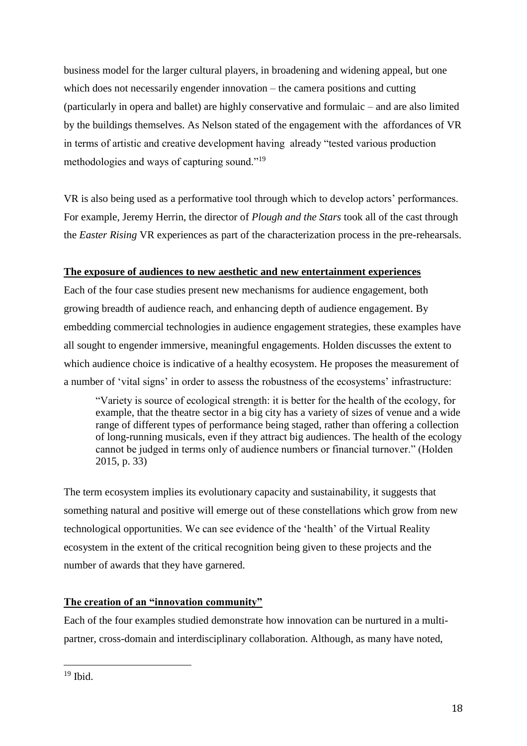business model for the larger cultural players, in broadening and widening appeal, but one which does not necessarily engender innovation – the camera positions and cutting (particularly in opera and ballet) are highly conservative and formulaic – and are also limited by the buildings themselves. As Nelson stated of the engagement with the affordances of VR in terms of artistic and creative development having already "tested various production methodologies and ways of capturing sound."<sup>19</sup>

VR is also being used as a performative tool through which to develop actors' performances. For example, Jeremy Herrin, the director of *Plough and the Stars* took all of the cast through the *Easter Rising* VR experiences as part of the characterization process in the pre-rehearsals.

# **The exposure of audiences to new aesthetic and new entertainment experiences**

Each of the four case studies present new mechanisms for audience engagement, both growing breadth of audience reach, and enhancing depth of audience engagement. By embedding commercial technologies in audience engagement strategies, these examples have all sought to engender immersive, meaningful engagements. Holden discusses the extent to which audience choice is indicative of a healthy ecosystem. He proposes the measurement of a number of 'vital signs' in order to assess the robustness of the ecosystems' infrastructure:

"Variety is source of ecological strength: it is better for the health of the ecology, for example, that the theatre sector in a big city has a variety of sizes of venue and a wide range of different types of performance being staged, rather than offering a collection of long-running musicals, even if they attract big audiences. The health of the ecology cannot be judged in terms only of audience numbers or financial turnover." (Holden 2015, p. 33)

The term ecosystem implies its evolutionary capacity and sustainability, it suggests that something natural and positive will emerge out of these constellations which grow from new technological opportunities. We can see evidence of the 'health' of the Virtual Reality ecosystem in the extent of the critical recognition being given to these projects and the number of awards that they have garnered.

# **The creation of an "innovation community"**

Each of the four examples studied demonstrate how innovation can be nurtured in a multipartner, cross-domain and interdisciplinary collaboration. Although, as many have noted,

 $19$  Ibid.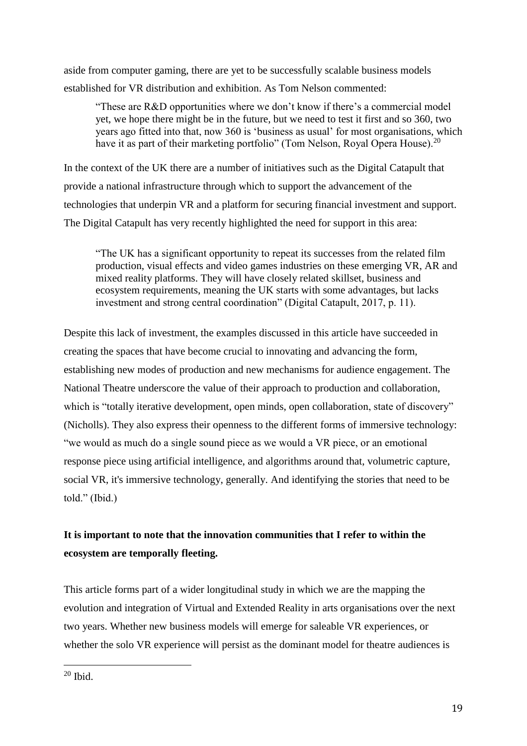aside from computer gaming, there are yet to be successfully scalable business models established for VR distribution and exhibition. As Tom Nelson commented:

"These are R&D opportunities where we don't know if there's a commercial model yet, we hope there might be in the future, but we need to test it first and so 360, two years ago fitted into that, now 360 is 'business as usual' for most organisations, which have it as part of their marketing portfolio" (Tom Nelson, Royal Opera House).<sup>20</sup>

In the context of the UK there are a number of initiatives such as the Digital Catapult that provide a national infrastructure through which to support the advancement of the technologies that underpin VR and a platform for securing financial investment and support. The Digital Catapult has very recently highlighted the need for support in this area:

"The UK has a significant opportunity to repeat its successes from the related film production, visual effects and video games industries on these emerging VR, AR and mixed reality platforms. They will have closely related skillset, business and ecosystem requirements, meaning the UK starts with some advantages, but lacks investment and strong central coordination" (Digital Catapult, 2017, p. 11).

Despite this lack of investment, the examples discussed in this article have succeeded in creating the spaces that have become crucial to innovating and advancing the form, establishing new modes of production and new mechanisms for audience engagement. The National Theatre underscore the value of their approach to production and collaboration, which is "totally iterative development, open minds, open collaboration, state of discovery" (Nicholls). They also express their openness to the different forms of immersive technology: "we would as much do a single sound piece as we would a VR piece, or an emotional response piece using artificial intelligence, and algorithms around that, volumetric capture, social VR, it's immersive technology, generally. And identifying the stories that need to be told." (Ibid.)

# **It is important to note that the innovation communities that I refer to within the ecosystem are temporally fleeting.**

This article forms part of a wider longitudinal study in which we are the mapping the evolution and integration of Virtual and Extended Reality in arts organisations over the next two years. Whether new business models will emerge for saleable VR experiences, or whether the solo VR experience will persist as the dominant model for theatre audiences is

 $20$  Ibid.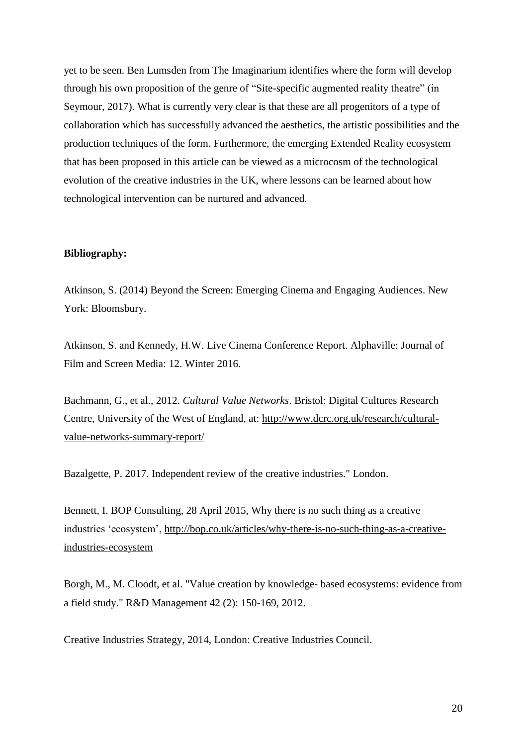yet to be seen. Ben Lumsden from The Imaginarium identifies where the form will develop through his own proposition of the genre of "Site-specific augmented reality theatre" (in Seymour, 2017). What is currently very clear is that these are all progenitors of a type of collaboration which has successfully advanced the aesthetics, the artistic possibilities and the production techniques of the form. Furthermore, the emerging Extended Reality ecosystem that has been proposed in this article can be viewed as a microcosm of the technological evolution of the creative industries in the UK, where lessons can be learned about how technological intervention can be nurtured and advanced.

#### **Bibliography:**

Atkinson, S. (2014) Beyond the Screen: Emerging Cinema and Engaging Audiences. New York: Bloomsbury.

Atkinson, S. and Kennedy, H.W. Live Cinema Conference Report. Alphaville: Journal of Film and Screen Media: 12. Winter 2016.

Bachmann, G., et al., 2012. *Cultural Value Networks*. Bristol: Digital Cultures Research Centre, University of the West of England, at: [http://www.dcrc.org.uk/research/cultural](http://www.dcrc.org.uk/research/cultural-value-networks-summary-report/)[value-networks-summary-report/](http://www.dcrc.org.uk/research/cultural-value-networks-summary-report/)

Bazalgette, P. 2017. Independent review of the creative industries." London.

Bennett, I. BOP Consulting, 28 April 2015, Why there is no such thing as a creative industries 'ecosystem', [http://bop.co.uk/articles/why-there-is-no-such-thing-as-a-creative](http://bop.co.uk/articles/why-there-is-no-such-thing-as-a-creative-industries-ecosystem)[industries-ecosystem](http://bop.co.uk/articles/why-there-is-no-such-thing-as-a-creative-industries-ecosystem)

Borgh, M., M. Cloodt, et al. "Value creation by knowledge‐ based ecosystems: evidence from a field study." R&D Management 42 (2): 150-169, 2012.

Creative Industries Strategy, 2014, London: Creative Industries Council.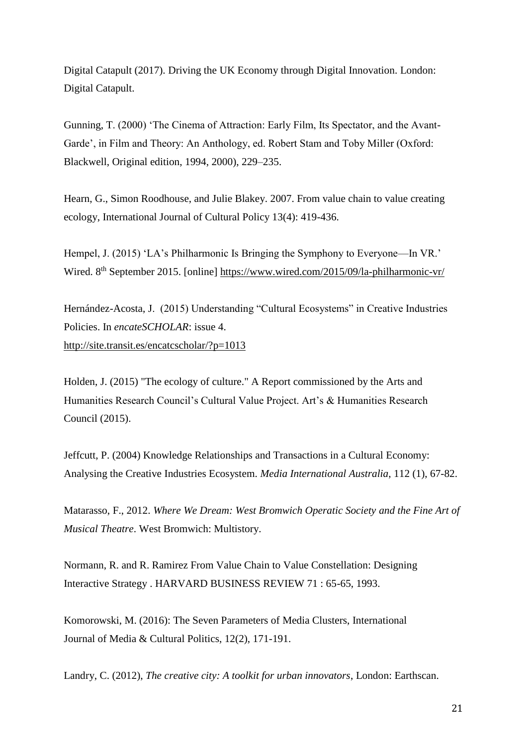Digital Catapult (2017). Driving the UK Economy through Digital Innovation. London: Digital Catapult.

Gunning, T. (2000) 'The Cinema of Attraction: Early Film, Its Spectator, and the Avant-Garde', in Film and Theory: An Anthology, ed. Robert Stam and Toby Miller (Oxford: Blackwell, Original edition, 1994, 2000), 229–235.

Hearn, G., Simon Roodhouse, and Julie Blakey. 2007. From value chain to value creating ecology, International Journal of Cultural Policy 13(4): 419-436.

Hempel, J. (2015) 'LA's Philharmonic Is Bringing the Symphony to Everyone—In VR.' Wired. 8<sup>th</sup> September 2015. [online]<https://www.wired.com/2015/09/la-philharmonic-vr/>

Hernández-Acosta, J. (2015) Understanding "Cultural Ecosystems" in Creative Industries Policies. In *encateSCHOLAR*: issue 4. <http://site.transit.es/encatcscholar/?p=1013>

Holden, J. (2015) "The ecology of culture." A Report commissioned by the Arts and Humanities Research Council's Cultural Value Project. Art's & Humanities Research Council (2015).

Jeffcutt, P. (2004) Knowledge Relationships and Transactions in a Cultural Economy: Analysing the Creative Industries Ecosystem. *Media International Australia*, 112 (1), 67-82.

Matarasso, F., 2012. *Where We Dream: West Bromwich Operatic Society and the Fine Art of Musical Theatre*. West Bromwich: Multistory.

Normann, R. and R. Ramirez From Value Chain to Value Constellation: Designing Interactive Strategy . HARVARD BUSINESS REVIEW 71 : 65-65, 1993.

Komorowski, M. (2016): The Seven Parameters of Media Clusters, International Journal of Media & Cultural Politics, 12(2), 171-191.

Landry, C. (2012), *The creative city: A toolkit for urban innovators*, London: Earthscan.